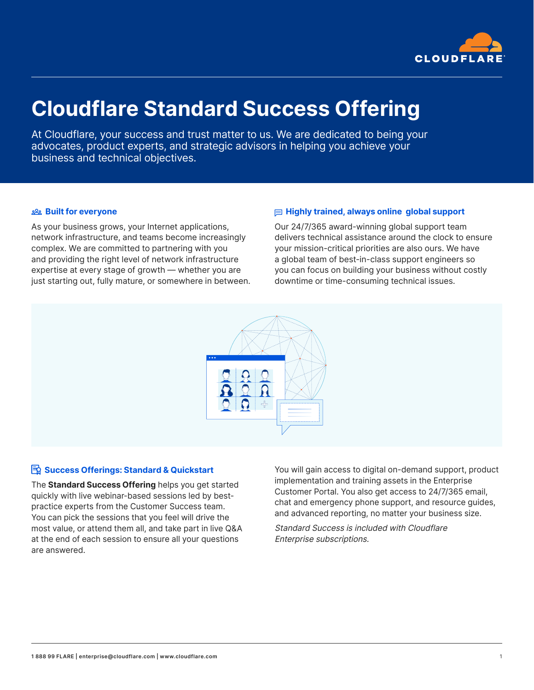

# **Cloudflare Standard Success Offering**

At Cloudflare, your success and trust matter to us. We are dedicated to being your advocates, product experts, and strategic advisors in helping you achieve your business and technical objectives.

#### **Built for everyone**

As your business grows, your Internet applications, network infrastructure, and teams become increasingly complex. We are committed to partnering with you and providing the right level of network infrastructure expertise at every stage of growth — whether you are just starting out, fully mature, or somewhere in between.

### **Highly trained, always online global support**

Our 24/7/365 award-winning global support team delivers technical assistance around the clock to ensure your mission-critical priorities are also ours. We have a global team of best-in-class support engineers so you can focus on building your business without costly downtime or time-consuming technical issues.



## **B** Success Offerings: Standard & Quickstart

The **Standard Success Offering** helps you get started quickly with live webinar-based sessions led by bestpractice experts from the Customer Success team. You can pick the sessions that you feel will drive the most value, or attend them all, and take part in live Q&A at the end of each session to ensure all your questions are answered.

You will gain access to digital on-demand support, product implementation and training assets in the Enterprise Customer Portal. You also get access to 24/7/365 email, chat and emergency phone support, and resource guides, and advanced reporting, no matter your business size.

Standard Success is included with Cloudflare Enterprise subscriptions.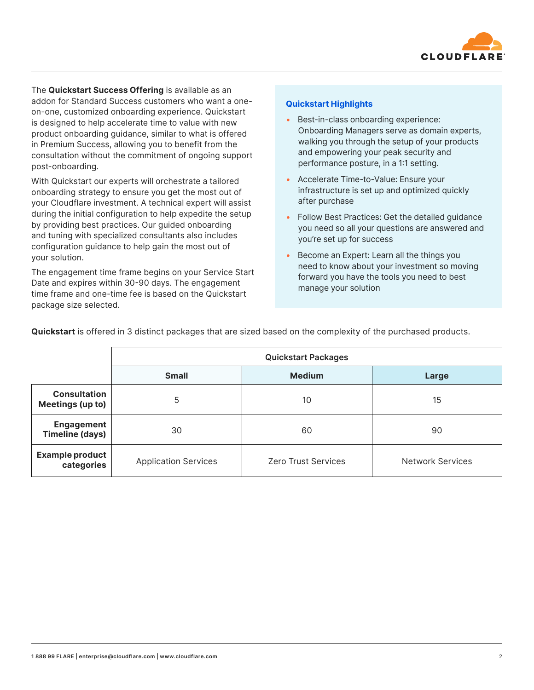

The **Quickstart Success Offering** is available as an addon for Standard Success customers who want a oneon-one, customized onboarding experience. Quickstart is designed to help accelerate time to value with new product onboarding guidance, similar to what is offered in Premium Success, allowing you to benefit from the consultation without the commitment of ongoing support post-onboarding.

With Quickstart our experts will orchestrate a tailored onboarding strategy to ensure you get the most out of your Cloudflare investment. A technical expert will assist during the initial configuration to help expedite the setup by providing best practices. Our guided onboarding and tuning with specialized consultants also includes configuration guidance to help gain the most out of your solution.

The engagement time frame begins on your Service Start Date and expires within 30-90 days. The engagement time frame and one-time fee is based on the Quickstart package size selected.

### **Quickstart Highlights**

- Best-in-class onboarding experience: Onboarding Managers serve as domain experts, walking you through the setup of your products and empowering your peak security and performance posture, in a 1:1 setting.
- Accelerate Time-to-Value: Ensure your infrastructure is set up and optimized quickly after purchase
- Follow Best Practices: Get the detailed guidance you need so all your questions are answered and you're set up for success
- Become an Expert: Learn all the things you need to know about your investment so moving forward you have the tools you need to best manage your solution

|                                             | <b>Quickstart Packages</b>  |                            |                         |
|---------------------------------------------|-----------------------------|----------------------------|-------------------------|
|                                             | <b>Small</b>                | <b>Medium</b>              | Large                   |
| <b>Consultation</b><br>Meetings (up to)     | 5                           | 10                         | 15                      |
| <b>Engagement</b><br><b>Timeline (days)</b> | 30                          | 60                         | 90                      |
| <b>Example product</b><br>categories        | <b>Application Services</b> | <b>Zero Trust Services</b> | <b>Network Services</b> |

**Quickstart** is offered in 3 distinct packages that are sized based on the complexity of the purchased products.